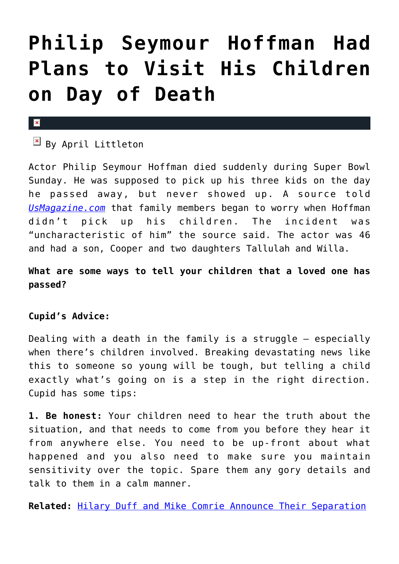# **[Philip Seymour Hoffman Had](https://cupidspulse.com/69029/philip-seymour-hoffman-plans-children-death/) [Plans to Visit His Children](https://cupidspulse.com/69029/philip-seymour-hoffman-plans-children-death/) [on Day of Death](https://cupidspulse.com/69029/philip-seymour-hoffman-plans-children-death/)**

#### $\mathbf x$

## $\overline{B}$  By April Littleton

Actor Philip Seymour Hoffman died suddenly during Super Bowl Sunday. He was supposed to pick up his three kids on the day he passed away, but never showed up. A source told *[UsMagazine.com](http://www.usmagazine.com/celebrity-news/news/philip-seymour-hoffman-had-plans-with-kids-on-day-of-his-death-201432)* that family members began to worry when Hoffman didn't pick up his children. The incident was "uncharacteristic of him" the source said. The actor was 46 and had a son, Cooper and two daughters Tallulah and Willa.

## **What are some ways to tell your children that a loved one has passed?**

### **Cupid's Advice:**

Dealing with a death in the family is a struggle – especially when there's children involved. Breaking devastating news like this to someone so young will be tough, but telling a child exactly what's going on is a step in the right direction. Cupid has some tips:

**1. Be honest:** Your children need to hear the truth about the situation, and that needs to come from you before they hear it from anywhere else. You need to be up-front about what happened and you also need to make sure you maintain sensitivity over the topic. Spare them any gory details and talk to them in a calm manner.

**Related:** [Hilary Duff and Mike Comrie Announce Their Separation](http://cupidspulse.com/hilary-duff-mike-comrie-announce-separation/)